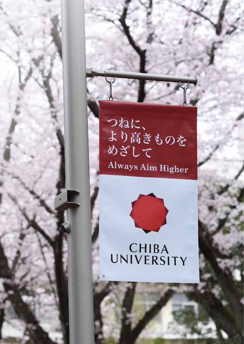# つねに、 より高きものを めざして **Always Aim Higher**



Chiba University 1980 and 2000 and 2000 and 2000 and 2000 and 2000 and 2000 and 2000 and 2000 and 2000 and 200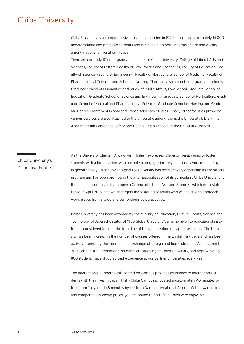# Chiba University

Chiba University is a comprehensive university founded in 1949. It hosts approximately 14,000 undergraduate and graduate students and is ranked high both in terms of size and quality among national universities in Japan.

There are currently 10 undergraduate faculties at Chiba University: College of Liberal Arts and Sciences, Faculty of Letters, Faculty of Law, Politics and Economics, Faculty of Education, Faculty of Science, Faculty of Engineering, Faculty of Horticulture, School of Medicine, Faculty of Pharmaceutical Sciences and School of Nursing. There are also a number of graduate schools: Graduate School of Humanities and Study of Public Affairs, Law School, Graduate School of Education, Graduate School of Science and Engineering, Graduate School of Horticulture, Graduate School of Medical and Pharmaceutical Sciences, Graduate School of Nursing and Graduate Degree Program of Global and Transdisciplinary Studies. Finally, other facilities providing various services are also attached to the university: among them, the University Library, the Academic Link Center, the Safety and Health Organization and the University Hospital.

Chiba University's Distinctive Features As the University Charter "Always Aim Higher" expresses, Chiba University aims to foster students with a broad vision, who are able to engage sincerely in all endeavors required by life in global society. To achieve this goal the university has been actively enhancing its liberal arts program and has been promoting the internationalization of its curriculum. Chiba University is the first national university to open a College of Liberal Arts and Sciences, which was established in April 2016, and which targets the fostering of adults who will be able to approach world issues from a wide and comprehensive perspective.

Chiba University has been awarded by the Ministry of Education, Culture, Sports, Science and Technology of Japan the status of "Top Global University", a name given to educational institutions considered to be at the front line of the globalization of Japanese society. The University has been increasing the number of courses offered in the English language and has been actively promoting the international exchange of foreign and home students. As of November 2020, about 900 international students are studying at Chiba University, and approximately 800 students have study abroad experience at our partner universities every year.

The International Support Desk located on-campus provides assistance to international students with their lives in Japan. Nishi-Chiba Campus is located approximately 40 minutes by train from Tokyo and 45 minutes by car from Narita International Airport. With a warm climate and comparatively cheap prices, you are bound to find life in Chiba very enjoyable.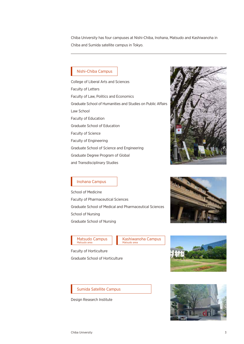Chiba University has four campuses at Nishi-Chiba, Inohana, Matsudo and Kashiwanoha in Chiba and Sumida satellite campus in Tokyo.

# Nishi-Chiba Campus

College of Liberal Arts and Sciences Faculty of Letters Faculty of Law, Politics and Economics Graduate School of Humanities and Studies on Public Affairs Law School Faculty of Education Graduate School of Education Faculty of Science Faculty of Engineering Graduate School of Science and Engineering Graduate Degree Program of Global and Transdisciplinary Studies



# Inohana Campus

School of Medicine Faculty of Pharmaceutical Sciences Graduate School of Medical and Pharmaceutical Sciences School of Nursing Graduate School of Nursing



# Matsudo Campus Matsudo area

Kashiwanoha Campus Matsudo area

Faculty of Horticulture Graduate School of Horticulture



# Sumida Satellite Campus

Design Research Institute

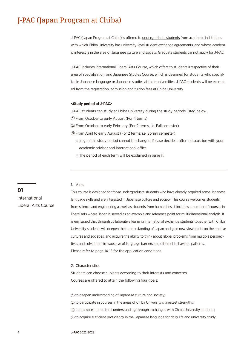# J-PAC (Japan Program at Chiba)

J-PAC (Japan Program at Chiba) is offered to undergraduate students from academic institutions with which Chiba University has university-level student exchange agreements, and whose academic interest is in the area of Japanese culture and society. Graduate students cannot apply for J-PAC.

J-PAC includes International Liberal Arts Course, which offers to students irrespective of their area of specialization, and Japanese Studies Course, which is designed for students who specialize in Japanese language or Japanese studies at their universities. J-PAC students will be exempted from the registration, admission and tuition fees at Chiba University.

#### **<Study period of J-PAC>**

J-PAC students can study at Chiba University during the study periods listed below.

**①** From October to early August (For 4 terms)

**②** From October to early February (For 2 terms, i.e. Fall semester)

**③** From April to early August (For 2 terms, i.e. Spring semester)

- ※ In general, study period cannot be changed. Please decide it after a discussion with your academic advisor and international office.
- ※ The period of each term will be explained in page 11.

# 1. Aims

This course is designed for those undergraduate students who have already acquired some Japanese language skills and are interested in Japanese culture and society. This course welcomes students from science and engineering as well as students from humanities. It includes a number of courses in liberal arts where Japan is served as an example and reference point for multidimensional analysis. It is envisaged that through collaborative learning international exchange students together with Chiba University students will deepen their understanding of Japan and gain new viewpoints on their native cultures and societies, and acquire the ability to think about global problems from multiple perspectives and solve them irrespective of language barriers and different behavioral patterns. Please refer to page 14-15 for the application conditions.

#### 2. Characteristics

Students can choose subjects according to their interests and concerns. Courses are offered to attain the following four goals:

 to deepen understanding of Japanese culture and society; to participate in courses in the areas of Chiba University's greatest strengths; to promote intercultural understanding through exchanges with Chiba University students; to acquire sufficient proficiency in the Japanese language for daily life and university study.

**01** International Liberal Arts Course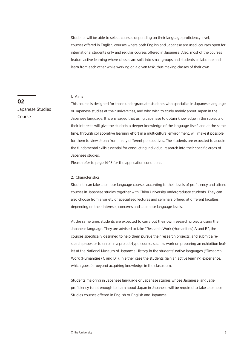Students will be able to select courses depending on their language proficiency level; courses offered in English, courses where both English and Japanese are used, courses open for international students only and regular courses offered in Japanese. Also, most of the courses feature active learning where classes are split into small groups and students collaborate and learn from each other while working on a given task, thus making classes of their own.

#### 1. Aims

This course is designed for those undergraduate students who specialize in Japanese language or Japanese studies at their universities, and who wish to study mainly about Japan in the Japanese language. It is envisaged that using Japanese to obtain knowledge in the subjects of their interests will give the students a deeper knowledge of the language itself, and at the same time, through collaborative learning effort in a multicultural environment, will make it possible for them to view Japan from many different perspectives. The students are expected to acquire the fundamental skills essential for conducting individual research into their specific areas of Japanese studies.

Please refer to page 14-15 for the application conditions.

#### 2. Characteristics

Students can take Japanese language courses according to their levels of proficiency and attend courses in Japanese studies together with Chiba University undergraduate students. They can also choose from a variety of specialized lectures and seminars offered at different faculties depending on their interests, concerns and Japanese language levels.

At the same time, students are expected to carry out their own research projects using the Japanese language. They are advised to take "Research Work (Humanities) A and B", the courses specifically designed to help them pursue their research projects, and submit a research paper, or to enroll in a project-type course, such as work on preparing an exhibition leaflet at the National Museum of Japanese History in the students' native languages ("Research Work (Humanities) C and D"). In either case the students gain an active learning experience, which goes far beyond acquiring knowledge in the classroom.

Students majoring in Japanese language or Japanese studies whose Japanese language proficiency is not enough to learn about Japan in Japanese will be required to take Japanese Studies courses offered in English or English and Japanese.

# **02**

Japanese Studies Course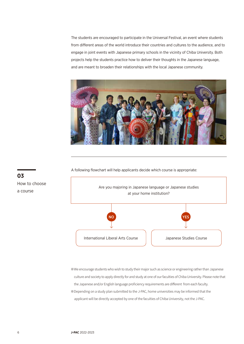The students are encouraged to participate in the Universal Festival, an event where students from different areas of the world introduce their countries and cultures to the audience, and to engage in joint events with Japanese primary schools in the vicinity of Chiba University. Both projects help the students practice how to deliver their thoughts in the Japanese language, and are meant to broaden their relationships with the local Japanese community.



A following flowchart will help applicants decide which course is appropriate:



※We encourage students who wish to study their major such as science or engineering rather than Japanese culture and society to apply directly for and study at one of our faculties of Chiba University. Please note that the Japanese and/or English language proficiency requirements are different from each faculty. ※Depending on a study plan submitted to the J-PAC, home universities may be informed that the applicant will be directly accepted by one of the faculties of Chiba University, not the J-PAC.

**03** How to choose a course

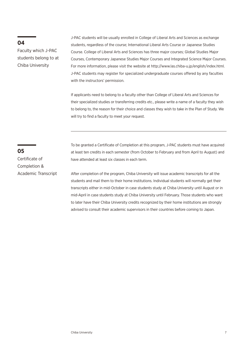# **04**

Faculty which J-PAC students belong to at Chiba University

J-PAC students will be usually enrolled in College of Liberal Arts and Sciences as exchange students, regardless of the course; International Liberal Arts Course or Japanese Studies Course. College of Liberal Arts and Sciences has three major courses; Global Studies Major Courses, Contemporary Japanese Studies Major Courses and Integrated Science Major Courses. For more information, please visit the website at http://www.las.chiba-u.jp/english/index.html. J-PAC students may register for specialized undergraduate courses offered by any faculties with the instructors' permission.

If applicants need to belong to a faculty other than College of Liberal Arts and Sciences for their specialized studies or transferring credits etc., please write a name of a faculty they wish to belong to, the reason for their choice and classes they wish to take in the Plan of Study. We will try to find a faculty to meet your request.

To be granted a Certificate of Completion at this program, J-PAC students must have acquired at least ten credits in each semester (from October to February and from April to August) and have attended at least six classes in each term.

After completion of the program, Chiba University will issue academic transcripts for all the students and mail them to their home institutions. Individual students will normally get their transcripts either in mid-October in case students study at Chiba University until August or in mid-April in case students study at Chiba University until February. Those students who want to later have their Chiba University credits recognized by their home institutions are strongly advised to consult their academic supervisors in their countries before coming to Japan.

# **05**

Certificate of Completion & Academic Transcript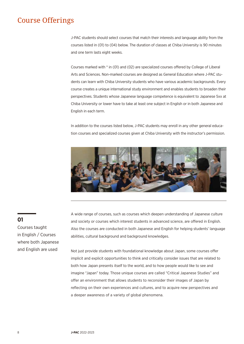# Course Offerings

J-PAC students should select courses that match their interests and language ability from the courses listed in (01) to (04) below. The duration of classes at Chiba University is 90 minutes and one term lasts eight weeks.

Courses marked with \* in (01) and (02) are specialized courses offered by College of Liberal Arts and Sciences. Non-marked courses are designed as General Education where J-PAC students can learn with Chiba University students who have various academic backgrounds. Every course creates a unique international study environment and enables students to broaden their perspectives. Students whose Japanese language competence is equivalent to Japanese 5xx at Chiba University or lower have to take at least one subject in English or in both Japanese and English in each term.

In addition to the courses listed below, J-PAC students may enroll in any other general education courses and specialized courses given at Chiba University with the instructor's permission.



A wide range of courses, such as courses which deepen understanding of Japanese culture and society or courses which interest students in advanced science, are offered in English. Also the courses are conducted in both Japanese and English for helping students' language abilities, cultural background and background knowledges.

Not just provide students with foundational knowledge about Japan, some courses offer implicit and explicit opportunities to think and critically consider issues that are related to both how Japan presents itself to the world, and to how people would like to see and imagine "Japan" today. Those unique courses are called "Critical Japanese Studies" and offer an environment that allows students to reconsider their images of Japan by reflecting on their own experiences and cultures, and to acquire new perspectives and a deeper awareness of a variety of global phenomena.

# **01**

Courses taught in English / Courses where both Japanese and English are used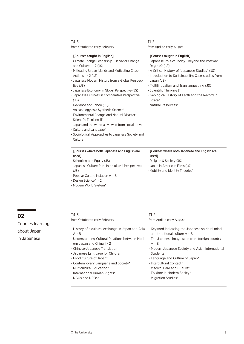| $T4-5$<br>from October to early February                                                                                                                                                                                                                                                                                                                                                                                                                                                                                                                                                                                                                                               | $T1-2$<br>from April to early August                                                                                                                                                                                                                                                                                                                                                 |
|----------------------------------------------------------------------------------------------------------------------------------------------------------------------------------------------------------------------------------------------------------------------------------------------------------------------------------------------------------------------------------------------------------------------------------------------------------------------------------------------------------------------------------------------------------------------------------------------------------------------------------------------------------------------------------------|--------------------------------------------------------------------------------------------------------------------------------------------------------------------------------------------------------------------------------------------------------------------------------------------------------------------------------------------------------------------------------------|
| [Courses taught in English]<br>- Climate Change Leadership - Behavior Change<br>and Culture $1 \cdot 2$ (JS)<br>- Mitigating Urban Islands and Motivating Citizen<br>Actions $1 \cdot 2$ (JS)<br>- Japanese Modern History from a Global Perspec-<br>tive (JS)<br>- Japanese Economy in Global Perspective (JS)<br>- Japanese Business in Comparative Perspective<br>(JS)<br>- Deviance and Taboo (JS)<br>- Volcanology as a Synthetic Science*<br>- Environmental Change and Natural Disaster*<br>- Scientific Thinking $\mathbb{I}^*$<br>- Japan and the world as viewed from social move<br>- Culture and Language*<br>- Sociological Approaches to Japanese Society and<br>Culture | [Courses taught in English]<br>- Japanese Politics Today -Beyond the Postwar<br>Regime? (JS)<br>- A Critical History of "Japanese Studies" (JS)<br>- Introduction to Sustainability: Case-studies from<br>Japan (JS)<br>- Multilingualism and Translanguaging (JS)<br>- Scientific Thinking I*<br>- Geological History of Earth and the Record in<br>Strata*<br>- Natural Resources* |
| [Courses where both Japanese and English are<br>used <sub>1</sub><br>- Schooling and Equity (JS)<br>- Japanese Culture from Intercultural Perspectives<br>(JS)<br>- Popular Culture in Japan $A \cdot B$<br>- Design Science $1 \cdot 2$<br>- Modern World System*                                                                                                                                                                                                                                                                                                                                                                                                                     | [Courses where both Japanese and English are<br>used <sub>1</sub><br>- Religion & Society (JS)<br>- Japan in American Films (JS)<br>- Mobility and Identity Theories*                                                                                                                                                                                                                |

| ×<br>$\sim$ |
|-------------|
|-------------|

Courses learning about Japan in Japanese

.

| T4-5                                                                               | $T1-2$                                                                                  |
|------------------------------------------------------------------------------------|-----------------------------------------------------------------------------------------|
| from October to early February                                                     | from April to early August                                                              |
| - History of a cultural exchange in Japan and Asia<br>$A \cdot B$                  | - Keyword indicating the Japanese spiritual mind<br>and traditional culture $A \cdot B$ |
| - Understanding Cultural Relations between Mod-<br>ern Japan and China $1 \cdot 2$ | - The Japanese image seen from foreign country<br>$A \cdot B$                           |
| - Chinese-Japanese Translation<br>- Japanese Language for Children                 | - Modern Japanese Society and Asian International<br>Students                           |
| - Food Culture of Japan*                                                           | - Language and Culture of Japan*                                                        |
| - Contemporary Language and Society*                                               | - Intercultural Contact*                                                                |
| - Multicultural Education*                                                         | - Medical Care and Culture*                                                             |
| - International Human Rights*                                                      | - Folklore in Modern Sociey*                                                            |
| - NGOs and $NPOs^*$                                                                | - Migration Studies*                                                                    |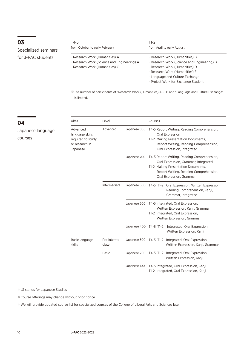# **03**

**04**

courses

Japanese language

Specialized seminars for J-PAC students

| T4-5                                                                                                            | T1-2                                                                                                                                                                                                                        |
|-----------------------------------------------------------------------------------------------------------------|-----------------------------------------------------------------------------------------------------------------------------------------------------------------------------------------------------------------------------|
| from October to early February                                                                                  | from April to early August                                                                                                                                                                                                  |
| - Research Work (Humanities) A<br>- Research Work (Science and Engineering) A<br>- Research Work (Humanities) C | - Research Work (Humanities) B<br>- Research Work (Science and Engineering) B<br>- Research Work (Humanities) D<br>- Research Work (Humanities) E<br>- Language and Culture Exchange<br>- Project Work for Exchange Student |

※The number of participants of "Research Work (Humanities) A ~ D" and "Language and Culture Exchange" is limited.

| Aims                                                                           | Level                 |                         | Courses<br>T4-5 Report Writing, Reading Comprehension,<br>Oral Expression<br>T1-2 Making Presentation Documents,<br>Report Writing, Reading Comprehension,<br>Oral Expression, Integrated        |  |
|--------------------------------------------------------------------------------|-----------------------|-------------------------|--------------------------------------------------------------------------------------------------------------------------------------------------------------------------------------------------|--|
| Advanced<br>language skills<br>required to study<br>or research in<br>Japanese | Advanced              | Japanese 800            |                                                                                                                                                                                                  |  |
|                                                                                |                       | Japanese 700            | T4-5 Report Writing, Reading Comprehension,<br>Oral Expression, Grammar, Integrated<br>T1-2 Making Presentation Documents,<br>Report Writing, Reading Comprehension,<br>Oral Expression, Grammar |  |
|                                                                                | Intermediate          | Japanese 600            | T4-5, T1-2 Oral Expression, Written Expression,<br>Reading Comprehension, Kanji,<br>Grammar, Integrated                                                                                          |  |
|                                                                                |                       |                         | Japanese 500 T4-5 Integrated, Oral Expression,<br>Written Expression, Kanji, Grammar<br>T1-2 Integrated, Oral Expression,<br>Written Expression, Grammar                                         |  |
|                                                                                |                       | Japanese 400 T4-5, T1-2 | Integrated, Oral Expression,<br>Written Expression, Kanji                                                                                                                                        |  |
| Basic language<br>skills                                                       | Pre-interme-<br>diate | Japanese 300            | Integrated, Oral Expression,<br>T4-5, T1-2<br>Written Expression, Kanji, Grammar                                                                                                                 |  |
|                                                                                | <b>Basic</b>          | Japanese 200            | Integrated, Oral Expression,<br>T4-5, T1-2<br>Written Expression, Kanji                                                                                                                          |  |
|                                                                                |                       | Japanese 100            | T4-5 Integrated, Oral Expression, Kanji<br>T1-2 Integrated, Oral Expression, Kanji                                                                                                               |  |

※JS stands for Japanese Studies.

※Course offerings may change without prior notice.

※We will provide updated course list for specialized courses of the College of Liberal Arts and Sciences later.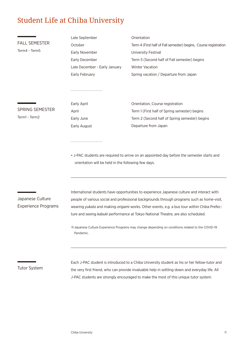# Student Life at Chiba University

|                            | Late September                                                                                                                                    | Orientation                                                                                                                                                                              |  |  |
|----------------------------|---------------------------------------------------------------------------------------------------------------------------------------------------|------------------------------------------------------------------------------------------------------------------------------------------------------------------------------------------|--|--|
| <b>FALL SEMESTER</b>       | October                                                                                                                                           | Term 4 (First half of Fall semester) begins, Course registration                                                                                                                         |  |  |
| Term4 - Term5              | Early November                                                                                                                                    | University Festival                                                                                                                                                                      |  |  |
|                            | Early December                                                                                                                                    | Term 5 (Second half of Fall semester) begins                                                                                                                                             |  |  |
|                            | Late December - Early January                                                                                                                     | <b>Winter Vacation</b>                                                                                                                                                                   |  |  |
|                            | Early February                                                                                                                                    | Spring vacation / Departure from Japan                                                                                                                                                   |  |  |
|                            |                                                                                                                                                   |                                                                                                                                                                                          |  |  |
|                            | Early April                                                                                                                                       | Orientation, Course registration                                                                                                                                                         |  |  |
| <b>SPRING SEMESTER</b>     | April                                                                                                                                             | Term 1 (First half of Spring semester) begins                                                                                                                                            |  |  |
| Term1 - Term2              | Early June                                                                                                                                        | Term 2 (Second half of Spring semester) begins                                                                                                                                           |  |  |
|                            | Early August                                                                                                                                      | Departure from Japan                                                                                                                                                                     |  |  |
|                            |                                                                                                                                                   |                                                                                                                                                                                          |  |  |
|                            | • J-PAC students are required to arrive on an appointed day before the semester starts and<br>orientation will be held in the following few days. |                                                                                                                                                                                          |  |  |
| Japanese Culture           |                                                                                                                                                   | International students have opportunities to experience Japanese culture and interact with<br>people of various social and professional backgrounds through programs such as home-visit, |  |  |
| <b>Experience Programs</b> | wearing yukata and making origami works. Other events, e.g. a bus tour within Chiba Prefec-                                                       |                                                                                                                                                                                          |  |  |
|                            | ture and seeing kabuki performance at Tokyo National Theatre, are also scheduled.                                                                 |                                                                                                                                                                                          |  |  |
|                            | % Japanese Culture Experience Programs may change depending on conditions related to the COVID-19<br>Pandemic.                                    |                                                                                                                                                                                          |  |  |
| Tutor System               |                                                                                                                                                   | Each J-PAC student is introduced to a Chiba University student as his or her fellow-tutor and                                                                                            |  |  |

Tutor System

the very first friend, who can provide invaluable help in settling down and everyday life. All J-PAC students are strongly encouraged to make the most of this unique tutor system.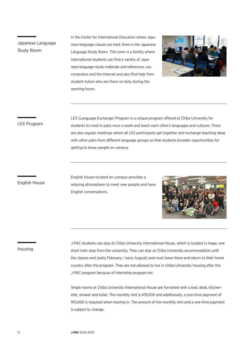Japanese Language Study Room

 opening hours. In the Center for International Education where Japanese language classes are held, there is the Japanese Language Study Room. This room is a facility where international students can find a variety of Japanese language study materials and references, use computers and the internet and also find help from student-tutors who are there on duty during the



## LEX Program

LEX (Language Exchange) Program is a unique program offered at Chiba University for students to meet in pairs once a week and teach each other's languages and cultures. There are also regular meetings where all LEX participants get together and exchange teaching ideas with other pairs from different language groups so that students broaden opportunities for getting to know people on campus.

# English House

English House located on-campus provides a relaxing atmosphere to meet new people and have English conversations.



### Housing

J-PAC students can stay at Chiba University International House, which is located in Inage, one short train stop from the university. They can stay at Chiba University accommodation until the classes end (early February / early August) and must leave there and return to their home country after the program. They are not allowed to live in Chiba University housing after the J-PAC program because of internship program etc.

Single rooms at Chiba University International House are furnished with a bed, desk, kitchenette, shower and toilet. The monthly rent is ¥19,000 and additionally, a one-time payment of ¥15,000 is required when moving in. The amount of the monthly rent and a one-time payment is subject to change.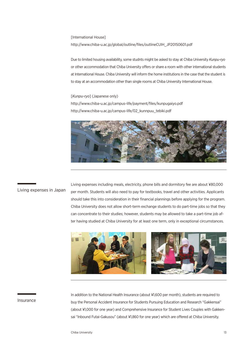[International House]

http://www.chiba-u.ac.jp/global/outline/files/outlineCUIH\_JP20150601.pdf

Due to limited housing availability, some studnts might be asked to stay at Chiba University *Kunpu-ryo* or other accommodation that Chiba University offers or share a room with other international students at International House. Chiba University will inform the home institutions in the case that the student is to stay at an accommodation other than single rooms at Chiba University International House.

[*Kunpu-ryo*] (Japanese only) http://www.chiba-u.ac.jp/campus-life/payment/files/kunpugaiyo.pdf http://www.chiba-u.ac.jp/campus-life/02\_kunnpuu\_tebiki.pdf



## Living expenses in Japan

Living expenses including meals, electricity, phone bills and dormitory fee are about ¥80,000 per month. Students will also need to pay for textbooks, travel and other activities. Applicants should take this into consideration in their financial plannings before applying for the program. Chiba University does not allow short-term exchange students to do part-time jobs so that they can concentrate to their studies; however, students may be allowed to take a part-time job after having studied at Chiba University for at least one term, only in exceptional circumstances.



### Insurance

In addition to the National Health Insurance (about ¥1,600 per month), students are required to buy the Personal Accident Insurance for Students Pursuing Education and Research "Gakkensai" (about ¥1,000 for one year) and Comprehensive Insurance for Student Lives Couples with Gakkensai "Inbound Futai-Gakusou" (about ¥1,860 for one year) which are offered at Chiba University.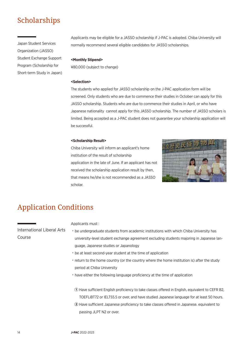# Scholarships

Japan Student Services Organization (JASSO) Student Exchange Support Program (Scholarship for Short-term Study in Japan) Applicants may be eligible for a JASSO scholarship if J-PAC is adopted. Chiba University will normally recommend several eligible candidates for JASSO scholarships.

### **<Monthly Stipend>**

¥80,000 (subject to change)

#### **<Selection>**

The students who applied for JASSO scholarship on the J-PAC application form will be screened. Only students who are due to commence their studies in October can apply for this JASSO scholarship. Students who are due to commence their studies in April, or who have Japanese nationality cannot apply for this JASSO scholarship. The number of JASSO scholars is limited. Being accepted as a J-PAC student does not guarantee your scholarship application will be successful.

### **<Scholarship Result>**

Chiba University will inform an applicant's home institution of the result of scholarship application in the late of June. If an applicant has not received the scholarship application result by then, that means he/she is not recommended as a JASSO scholar.



# Application Conditions

International Liberal Arts Course

- Applicants must :
- ˙be undergraduate students from academic institutions with which Chiba University has university-level student exchange agreement excluding students majoring in Japanese language, Japanese studies or Japanology
	- ˙be at least second-year student at the time of application
	- ˙return to the home country (or the country where the home institution is) after the study period at Chiba University
	- ˙have either the following language proficiency at the time of application

**①** Have sufficient English proficiency to take classes offered in English, equivalent to CEFR B2, TOEFLiBT72 or IELTS5.5 or over, and have studied Japanese language for at least 50 hours.

**②** Have sufficient Japanese proficiency to take classes offered in Japanese. equivalent to passing JLPT N2 or over.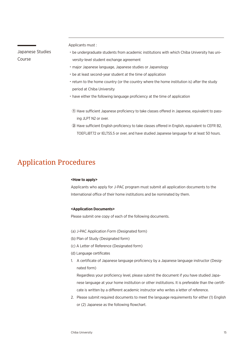Japanese Studies Course

Applicants must :

- ˙be undergraduate students from academic institutions with which Chiba University has university-level student exchange agreement
- ˙major Japanese language, Japanese studies or Japanology
- ˙be at least second-year student at the time of application
- ˙return to the home country (or the country where the home institution is) after the study period at Chiba University
- ˙have either the following language proficiency at the time of application
- **①** Have sufficient Japanese proficiency to take classes offered in Japanese, equivalent to passing JLPT N2 or over.
- **②** Have sufficient English proficiency to take classes offered in English, equivalent to CEFR B2, TOEFLiBT72 or IELTS5.5 or over, and have studied Japanese language for at least 50 hours.

# Application Procedures

#### **<How to apply>**

Applicants who apply for J-PAC program must submit all application documents to the International office of their home institutions and be nominated by them.

## **<Application Documents>**

Please submit one copy of each of the following documents.

- (a) J-PAC Application Form (Designated form)
- (b) Plan of Study (Designated form)
- (c) A Letter of Reference (Designated form)
- (d) Language certificates
- 1. A certificate of Japanese language proficiency by a Japanese language instructor (Designated form)

Regardless your proficiency level, please submit the document if you have studied Japanese language at your home institution or other institutions. It is preferable than the certificate is written by a different academic instructor who writes a letter of reference.

2. Please submit required documents to meet the language requirements for either (1) English or (2) Japanese as the following flowchart.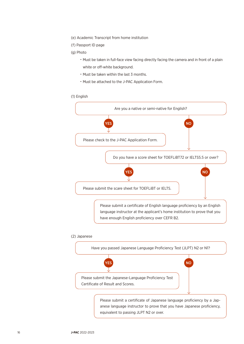- (e) Academic Transcript from home institution
- (f) Passport ID page
- (g) Photo
	- ˙Must be taken in full-face view facing directly facing the camera and in front of a plain white or off-white background.
	- ˙Must be taken within the last 3 months.
	- ˙Must be attached to the J-PAC Application Form.

### (1) English



# (2) Japanese

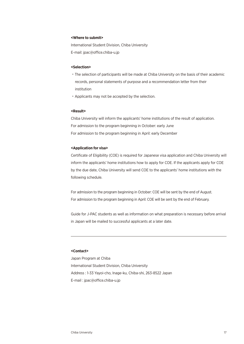#### **<Where to submit>**

International Student Division, Chiba University E-mail: jpac@office.chiba-u.jp

#### **<Selection>**

- ˙The selection of participants will be made at Chiba University on the basis of their academic records, personal statements of purpose and a recommendation letter from their institution
- ˙Applicants may not be accepted by the selection.

### **<Result>**

Chiba University will inform the applicants' home institutions of the result of application. For admission to the program beginning in October: early June For admission to the program beginning in April: early December

#### **<Application for visa>**

Certificate of Eligibility (COE) is required for Japanese visa application and Chiba University will inform the applicants' home institutions how to apply for COE. If the applicants apply for COE by the due date, Chiba University will send COE to the applicants' home institutions with the following schedule.

For admission to the program beginning in October: COE will be sent by the end of August. For admission to the program beginning in April: COE will be sent by the end of February.

Guide for J-PAC students as well as information on what preparation is necessary before arrival in Japan will be mailed to successful applicants at a later date.

#### **<Contact>**

Japan Program at Chiba International Student Division, Chiba University Address : 1-33 Yayoi-cho, Inage-ku, Chiba-shi, 263-8522 Japan E-mail : jpac@office.chiba-u.jp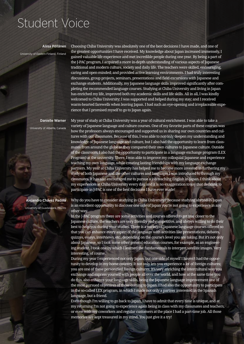# Student Voice

Aliisa Pöllänen

University of Eastern Finland, Finland

Choosing Chiba University was absolutely one of the best decisions I have made, and one of the greatest opportunities I have received. My knowledge about Japan increased immensely, I gained valuable life experience and met incredible people during one year. By being a part of the J-PAC program, I acquired a more in-depth understanding of various aspects of Japanese traditional and modern culture, society and daily life. The teachers were skilled, encouraging, caring and open-minded; and provided active learning environments. I had truly interesting discussions, group projects, seminars, presentations and field excursions with Japanese and exchange students. Additionally, my Japanese language skills improved significantly after completing the recommended language courses. Studying at Chiba University and living in Japan has enriched my life, improved both my academic skills and life skills. All in all, I was kindly welcomed to Chiba University; I was supported and helped during my stay; and I received warm-hearted farewells when leaving Japan. I had such an eye-opening and irreplaceable experience that I promised myself to go to Japan again.

Danielle Warner University of Alberta, Canada My year of study at Chiba University was a year of cultural enrichment. I was able to take a variety of Japanese language and culture courses. One of my favorite parts of these courses was how the professors always encouraged and supported us in sharing our own countries and cultures with our classmates. Because of this, I was able to not only deepen my understanding and knowledge of Japanese language and culture, but I also had the opportunity to learn from classmates from around the globe as they compared their own cultures to Japanese culture. Outside of the classroom, I also had the opportunity to participate in a language exchange program (LEX Program) at the university. There, I was able to improve my colloquial Japanese and experience teaching my own language, while creating lasting friendships with my language exchange partners. My year at Chiba University has helped me to become more invested in furthering my study of both Japanese and the other cultures and languages I was introduced to through my classmates. It has also encouraged me to pursue a job teaching English in Japan. I think about my experiences at Chiba University every day, and it is no exaggeration to say that deciding to participate in J-PAC is one of the best decisions I have ever made!

# Alejandro Chávez Padilla University of Guadalajara, Mexico

18 **J-PAC** 2022-2023

Why do you have to consider studying in Chiba University? Because studying abroad in Japan is an excellent opportunity to discover one side of Japan you're not going to experience in any other way.

In the J-PAC program there are some activities and courses offered to get you closer to the Japanese culture, the teachers are very friendly and competitive, and always willing to do their best to help you during your studies. There is a variety of Japanese language courses offered so that you can enhance every aspect of the language with activities like presentations, debates, quizzes, essays, interviews, etc., depending on the course's level you are taking. But it's not only about Japanese, so I took some other general education courses, for example, as an engineering student, I took one by which I learned the fundamentals to interpret satellite images. Very interesting, of course.

During my year I experienced not only Japan, but one side of myself I haven't had the opportunity to develop in my home country. It not only lets you experience a lot of foreign cultures; you are one of those personified foreign cultures. It's very enriching the intercultural way you exchange and express yourself with people all over the world, and how at the same time you do this, also enhance your language skills, being the Japanese language improvement one of the most pursued objectives of those coming to Japan. I had also the opportunity to participate in the so-called LEX program, in which I made not only a partner interested in the Spanish language, but a friend.

Even though I'm willing to go back to Japan, I have to admit that every time is unique, and at my returning I'm not going to experience again being in class with my classmates and teachers, or even with my coworkers and regular customers at the place I had a part-time job. All those memories are kept treasured in my mind. You just give it a try!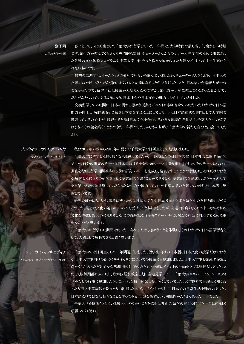中央民族大学・中国

劉子同

**私にとって、J-PAC生として千葉大学に留学していた一年間は、大学時代で最も楽しく、懐かしい時期 です。先生方が教えてくださった専門的な知識、チューターさんからのサポート、留学生のために用意され た各種の文化体験プログラムや千葉大学で出会った様々な国から来た友達など、すべては一生忘れら れないものです。**

**最初の二週間は、ホームシックのせいでいろいろ悩んでいましたが、チューターさんをはじめ、日本人の 友達のおかげでだんだん慣れ、多くの人と友達になることができました。また、日本語の会話能力が十分 でなかったので、留学当初は授業が大変だったのですが、先生方が丁寧に教えてくださったおかげで、 だんだんとついていけるようになり、日本社会や日本文化の魅力にひかれていきました。**

**交換留学していた間に、日本に関わる様々な授業やイベントに参加させていただいたおかげで日本語 能力が向上し、帰国後も引き続き日本語を学ぶことにしました。今は日本語通訳を専門として大学院で 勉強しているのですが、通訳するときは日本文化を含むいろいろな知識が必要です。千葉大学への留学 はまさにその礎を築くことができた一年間でした。みなさんもぜひ千葉大学で新たな自分と出会ってくだ さい。**

プルウィラ・ファトリア・ジャヤ

**私は2017年の秋から2018年の夏まで千葉大学で日研生として勉強しました。**

ガジャマダ大学・インドネシア

**千葉大学に留学した時、様々な活動をしましたが、一番励んだのは日本文化・日本社会に関する研究 でした。自分の研究のテーマは日本における社会問題の一つ、「恋愛離れ」でした。そのテーマについて 調査を行い、留学期間が終わる前に研究レポートを完成し、発表をすることができました。それだけではな く、帰国した後もその研究をもとに卒業論文を書くことができました。卒業論文を完成し、ガジャマダ大学 を卒業できたのは指導してくださった先生方や協力してくれた千葉大学の友達のおかげです。本当に感 謝しています。**

**研究のほかにも、大きく印象に残ったのは日本人学生や世界各国から来た留学生の友達と触れ合うこ とでした。最初は文化の違いにショックを受けることもありましたが、友達と仲良くなるにつれ、それぞれの 文化を尊敬しあうようになりました。この経験はこれからグローバル化し続ける社会に対応するために重 要なことだと思います。**

**千葉大学に留学した期間はたった一年でしたが、様々なことを体験し、そのおかげで日本語学習者と して、人間として成長できたと強く思います。**

ドミニカ・シマンキェヴィチ アダム・ミツキェヴィッチ大学・ポーランド

**頑張ってください。**

**千葉大学では日研生として一年間過ごしました。留学生向けの日本語と日本文化の授業だけではな く、日本人学生向けの街づくりやキャリアについての授業にも参加しました。日本人学生と交流する機会 がたくさんあっただけでなく、鴨川市の住民の方たちと一緒にイベントの計画を立てる経験もしました。ま た、民族舞踊部に入ったり、歌舞伎鑑賞教室、成田空港見学ツアー、千葉大学ユニバーサル・フェスティ バルなどの行事に参加したりして、生活を精一杯楽しむようにしていました。大学以外でも、新しく知り合 った友達と千葉周辺を巡ったり、旅行したり、アルバイトしたりして、日本での日常生活を味わいました。 日本語だけではなく、様々なことをやってみる、自分を探すという可能性がたくさんあった一年でした。 千葉大学を選ぼうとしている皆さん、やりたいことを慎重に考えて、留学の貴重な時間を上手に使うよう**

Chiba University 19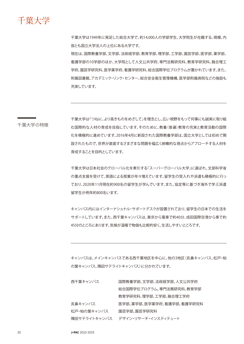千葉大学

千葉大学は1949年に発足した総合大学で、約14,000人の学部学生、大学院生が在籍する、規模、内 容とも国立大学法人の上位にある大学です。

現在は、国際教養学部、文学部、法政経学部、教育学部、理学部、工学部、園芸学部、医学部、薬学部、 看護学部の10学部のほか、大学院として人文公共学府、専門法務研究科、教育学研究科、融合理工 学府、園芸学研究科、医学薬学府、看護学研究科、総合国際学位プログラムが置かれています。また、 附属図書館、アカデミック・リンク・センター、総合安全衛生管理機構、医学部附属病院などの施設も 充実しています。

千葉大学の特徴

千葉大学は「つねに、より高きものをめざして」を理念とし、広い視野をもって何事にも誠実に取り組 む国際的な人材の育成を目指しています。そのために、教養(普遍)教育の充実と教育活動の国際 化を積極的に進めています。2016年4月に新設された国際教養学部は、国立大学としては初めて開 設されたもので、世界が直面するさまざまな問題を幅広く俯瞰的な視点からアプローチする人材を 育成することを目的としています。

千葉大学は日本社会のグローバル化を牽引する「スーパーグローバル大学」に選ばれ、文部科学省 の重点支援を受けて、英語による授業が年々増えています。留学生の受入れや派遣も積極的に行っ ており、2020年11月現在約900名の留学生が学んでいます。また、協定等に基づき海外で学ぶ派遣 留学生が例年約800名います。

キャンパス内にはインターナショナル・サポートデスクが設置されており、留学生の日本での生活を サポートしています。また、西千葉キャンパスは、東京から電車で約40分、成田国際空港から車で約 45分のところにあります。気候が温暖で物価も比較的安く、生活しやすいところです。

キャンパスは、メインキャンパスである西千葉地区を中心に、他の3地区(亥鼻キャンパス、松戸・柏 の葉キャンパス、隅田サテライトキャンパス)に分かれています。

| 西千葉キャンパス     | 国際教養学部、文学部、法政経学部、人文公共学府   |
|--------------|---------------------------|
|              | 総合国際学位プログラム、専門法務研究科、教育学部  |
|              | 教育学研究科、理学部、工学部、融合理工学府     |
| 亥鼻キャンパス      | 医学部、薬学部、医学薬学府、看護学部、看護学研究科 |
| 松戸・柏の葉キャンパス  | 園芸学部、園芸学研究科               |
| 隅田サテライトキャンパス | デザイン・リサーチ・インスティテュート       |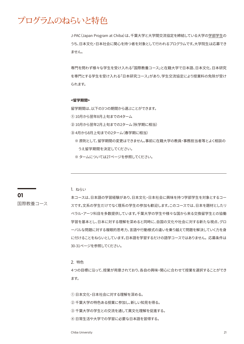# プログラムのねらいと特色

J-PAC(Japan Program at Chiba)は、千葉大学と大学間交流協定を締結している大学の学部学生の うち、日本文化・日本社会に関心を持つ者を対象として行われるプログラムです。大学院生は応募でき ません。

専門を問わず様々な学生を受け入れる「国際教養コース」と在籍大学で日本語、日本文化、日本研究 を専門とする学生を受け入れる「日本研究コース」があり、学生交流協定により授業料の免除が受け られます。

## **<留学期間>**

留学期間は、以下の3つの期間から選ぶことができます。

① 10月から翌年8月上旬までの4ターム

- ② 10月から翌年2月上旬までの2ターム(秋学期に相当)
- ③ 4月から8月上旬までの2ターム(春学期に相当)
	- ※ 原則として、留学期間の変更はできません。事前に在籍大学の教員・事務担当者等とよく相談の うえ留学期間を決定してください。
	- ※ タームについては27ページを参照してください。

1. ねらい

国際教養コース

**01**

本コースは、日本語の学習経験があり、日本文化・日本社会に興味を持つ学部学生を対象とするコー スです。文系の学生だけでなく理系の学生の参加も歓迎します。このコースでは、日本を題材としたリ ベラル・アーツ科目を多数提供しています。千葉大学の学生や様々な国から来る交換留学生との協働 学習を基本とし、日本に対する理解を深めると同時に、自国の文化や社会に対する新たな視点、グロ ーバルな問題に対する複眼的思考力、言語や行動様式の違いを乗り越えて問題を解決していく力を身 に付けることをねらいとしています。日本語を学習するだけの語学コースではありません。 応募条件は 30-31ページを参照してください。

2. 特色

4つの目標に沿って、授業が用意されており、各自の興味・関心に合わせて授業を選択することができ ます。

① 日本文化・日本社会に対する理解を深める。

- ② 千葉大学の特色ある授業に参加し、新しい知見を得る。
- ③ 千葉大学の学生との交流を通して異文化理解を促進する。
- ④ 日常生活や大学での学習に必要な日本語を習得する。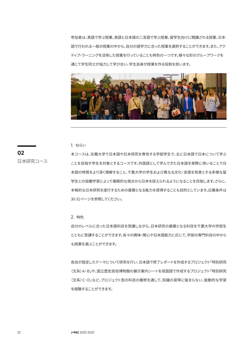参加者は、英語で学ぶ授業、英語と日本語の二言語で学ぶ授業、留学生向けに開講される授業、日本 語で行われる一般の授業の中から、自分の語学力に合った授業を選択することができます。また、アク ティブ・ラーニングを活用した授業を行っていることも特色の一つです。様々な形のグループワークを 通じて学生同士が協力して学び合い、学生自身が授業を作る役割を担います。



1. ねらい

**02** 日本研究コース 本コースは、在籍大学で日本語や日本研究を専攻する学部学生で、主に日本語で日本について学ぶ ことを目指す学生を対象とするコースです。外国語として学んできた日本語を実際に用いることで日 本語の特質をより深く理解すること、千葉大学の学生および異なる文化・言語を背景とする多様な留 学生との協働学習によって複眼的な視点から日本を捉えられるようになることを目指します。さらに、 本格的な日本研究を遂行するための基礎となる能力を習得することも目的としています。応募条件は 30-31ページを参照してください。

2. 特色

自分のレベルに合った日本語科目を受講しながら、日本研究の基礎となる科目を千葉大学の学部生 とともに受講することができます。各々の興味・関心や日本語能力に応じて、学部の専門科目の中から も授業を選ぶことができます。

各自が設定したテーマについて研究を行い、日本語で修了レポートを作成するプロジェクト「特別研究 (文系)A・B」や、国立歴史民俗博物館の展示案内シートを母国語で作成するプロジェクト「特別研究 (文系)C・D」など、プロジェクト型の科目の履修を通して、知識の習得に留まらない、能動的な学習 を経験することができます。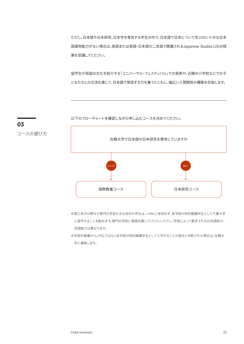ただし、日本語や日本研究、日本学を専攻する学生の中で、日本語で日本について学ぶのに十分な日本 語運用能力がない場合は、英語または英語・日本語の二言語で開講されるJapanese Studies(JS)の授 業を受講してください。

留学生が母国の文化を紹介する「ユニバーサル・フェスティバル」での発表や、近隣の小学校などでの子 どもたちとの交流を通じて、日本語で発信する力を養うとともに、幅広い人間関係の構築を目指します。

以下のフローチャートを確認しながら申し込むコースを決めてください。



- ※理工系の分野など専門の学習が主な目的の学生は、J-PACに参加せず、各学部の特別聴講学生として千葉大学 に留学することを勧めます。専門の学部に直接応募してください。ただし、学部によって要求される日本語能力・ 英語能力は異なります。
- ※学習計画書からJ-PACではなく各学部の特別聴講学生として入学することが適当と判断された場合は、在籍大 学に連絡します。



コースの選び方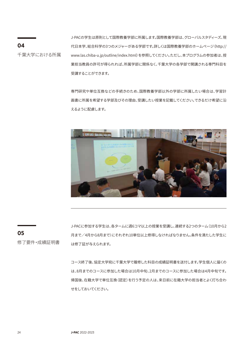J-PACの学生は原則として国際教養学部に所属します。国際教養学部は、グローバルスタディーズ、現 代日本学、総合科学の3つのメジャーがある学部です。詳しくは国際教養学部のホームページ(http:// www.las.chiba-u.jp/outline/index.html)を参照してください。ただし、本プログラムの参加者は、授 業担当教員の許可が得られれば、所属学部に関係なく、千葉大学の各学部で開講される専門科目を 受講することができます。

専門研究や単位互換などの手続きのため、国際教養学部以外の学部に所属したい場合は、学習計 画書に所属を希望する学部及びその理由、受講したい授業を記載してください。できるだけ希望に沿 えるように配慮します。



**05**

**04**

千葉大学における所属

修了要件・成績証明書

J-PACに参加する学生は、各タームに週6コマ以上の授業を受講し、連続する2つのターム(10月から2 月まで/4月から8月まで)にそれぞれ10単位以上修得しなければなりません。条件を満たした学生に は修了証が与えられます。

コース終了後、協定大学宛に千葉大学で履修した科目の成績証明書を送付します。学生個人に届くの は、8月までのコースに参加した場合は10月中旬、2月までのコースに参加した場合は4月中旬です。 帰国後、在籍大学で単位互換(認定)を行う予定の人は、来日前に在籍大学の担当者とよく打ち合わ せをしておいてください。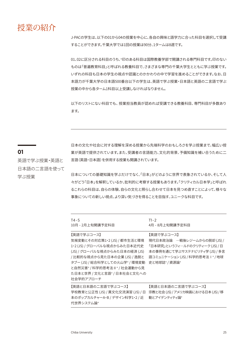

J-PACの学生は、以下の01から04の授業を中心に、各自の興味と語学力に合った科目を選択して受講 することができます。千葉大学では1回の授業は90分、1タームは8週です。

01、02に区分される科目のうち、\*印のある科目は国際教養学部で開講される専門科目です。印のない ものは「普遍教育科目」と呼ばれる教養科目で、さまざまな専門の千葉大学生とともに学ぶ授業です。 いずれの科目も日本の学生の視点や認識とのかかわりの中で学習を進めることができます。なお、日 本語力が千葉大学の日本語500番台以下の学生は、英語で学ぶ授業・日本語と英語の二言語で学ぶ 授業の中から各ターム1科目以上受講しなければなりません。

以下のリストにない科目でも、授業担当教員が認めれば受講できる教養科目、専門科目が多数あり ます。

# **01**

英語で学ぶ授業・英語と 日本語の二言語を使って 学ぶ授業

日本の文化や社会に対する理解を深める授業から先端科学のおもしろさを学ぶ授業まで、幅広い授 業が英語で提供されています。また、受講者の言語能力、文化的背景、予備知識を補い合うために二 言語(英語・日本語)を併用する授業も開講されています。

日本についての基礎知識を学ぶだけでなく、「日本」がどのように世界で表象されているか、そして人 々がどう「日本」を解釈しているか、批判的に考察する授業もあります。「クリティカル日本学」と呼ばれ るこれらの科目は、自らの体験、自らの文化と照らし合わせて日本を見つめ直すことによって、様々な 事象についての新しい視点、より深い気づきを得ることを目指す、ユニークな科目です。

| $T4 - 5$<br>10月 - 2月上旬開講予定科目                                                                                                                                                                                                                            | $T1 - 2$<br>4月 - 8月上旬開講予定科目                                                                                                                                        |
|---------------------------------------------------------------------------------------------------------------------------------------------------------------------------------------------------------------------------------------------------------|--------------------------------------------------------------------------------------------------------------------------------------------------------------------|
| 【英語で学ぶコース】<br>気候変動とその対応策1・2 (JS) / 都市生活と環境<br>1・2 (JS) / グローバルな視点からみた日本近代史<br>(JS) / グローバルな視点からみた日本の経済 (JS)<br>/比較的な視点から見た日本の企業 (JS) / 逸脱と<br>タブー (JS) / 総合科学としての火山学* / 環境変動<br>と自然災害* / 科学的思考法Ⅱ* / 社会運動から見<br>た日本と世界 / 文化と言語* / 日本社会と文化への<br>社会学的アプローチ | 【英語で学ぶコース】<br>現代日本政治論 一戦後レジームからの脱却 (JS) /<br>「日本研究」というフィールドのクリティーク (JS) / 日<br>本の事例を通じて学ぶサステナビリティ学 (JS) / 多言<br>語コミュニケーション (JS) / 科学的思考法 I * / 地球<br>史と地球誌* / 資源論* |
| 【英語と日本語の二言語で学ぶコース】<br>学校教育と公正性 (JS) / 異文化交流演習 (JS) / 日<br>本のポップカルチャーA・B / デザイン科学1・2 / 近<br>代世界システム論*                                                                                                                                                    | 【英語と日本語の二言語で学ぶコース】<br>宗教と社会 (JS) / アメリカ映画における日本 (JS) / 移<br>動とアイデンティティ論*                                                                                           |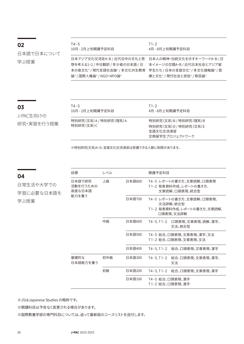| 02         | T4 - 5<br>10月 - 2月上旬開講予定科目    | $T1-2$<br>4月 - 8月上旬開講予定科目     |
|------------|-------------------------------|-------------------------------|
| 日本語で日本について |                               |                               |
|            | 日本アジア文化交流史A・B / 近代日中の文化と思     | 日本人の精神・伝統文化を示すキーワードA・B/日      |
| 学ぶ授業       | 想を考える1・2 / 中日翻訳 / 年少者の日本語 / 日 | 本イメージの交錯A・B / 近代日本社会とアジア留     |
|            | 本の食文化* / 現代言語社会論* / 多文化共生教育   | 学生たち / 日本の言語文化* / 多文化接触論* / 医 |
|            | 論* / 国際人権論* / NGO・NPO論*       | 療と文化* /現代社会と民俗* / 移民論*        |

# **03**

ш,

J-PAC生向けの 研究・実習を行う授業

| T4-5                                 | $T1-2$                                                                       |
|--------------------------------------|------------------------------------------------------------------------------|
| 10月 - 2月上旬開講予定科目                     | 4月 - 8月上旬開講予定科目                                                              |
| 特別研究(文系)A / 特別研究(理系)A<br>特別研究 (文系) C | 特別研究(文系)B / 特別研究(理系)B<br>特別研究(文系)D / 特別研究(文系)E<br>言語文化交流演習<br>交換留学生プロジェクトワーク |

※特別研究(文系)A~D、言語文化交流演習は受講できる人数に制限があります。

| 04           | 目標                           | レベル |        | 開講予定科目                                                                          |
|--------------|------------------------------|-----|--------|---------------------------------------------------------------------------------|
| 日常生活や大学での    | 日本語で研究<br>活動を行うための<br>高度な日本語 | 上級  | 日本語800 | T4-5 レポートの書き方、文章読解、口頭表現<br>T1-2 発表資料作成、レポートの書き方、<br>文章読解、口頭表現、統合型               |
| 学習に必要な日本語を   | 能力を養う                        |     |        |                                                                                 |
| 学ぶ授業<br>基礎的な |                              |     | 日本語700 | T4-5 レポートの書き方、文章読解、口頭表現、<br>文法詳解、統合型<br>T1−2 発表資料作成、レポートの書き方、文章読解、<br>口頭表現、文法詳解 |
|              |                              | 中級  | 日本語600 | 文法、統合型                                                                          |
|              |                              |     | 日本語500 | T4-5 総合、口頭表現、文章表現、漢字、文法<br>T1-2 総合、口頭表現、文章表現、文法                                 |
|              |                              |     | 日本語400 |                                                                                 |
|              | 日本語能力を養う                     | 初中級 | 日本語300 | 文法                                                                              |
|              |                              | 初級  | 日本語200 | T4-5, T1-2 総合、口頭表現、文章表現、漢字                                                      |
|              |                              |     | 日本語100 | T4-5 総合、口頭表現、漢字<br>T1-2 総合、口頭表現、漢字                                              |

※JSはJapanese Studies の略称です。

※開講科目は予告なく変更される場合があります。

※国際教養学部の専門科目については、追って最新版のコースリストを送付します。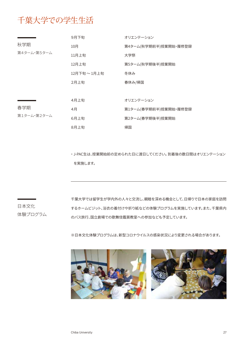# 千葉大学での学生生活

|             | 9月下旬               | オリエンテーション             |
|-------------|--------------------|-----------------------|
| 秋学期         | 10月                | 第4ターム(秋学期前半)授業開始・履修登録 |
| 第4ターム・第5ターム | 11月上旬              | 大学祭                   |
|             | 12月上旬              | 第5ターム(秋学期後半)授業開始      |
|             | $12$ 月下旬 ~ $1$ 月上旬 | 冬休み                   |
|             | 2月上旬               | 春休み/帰国                |
|             |                    |                       |
|             | 4月上旬               | オリエンテーション             |
| 春学期         | 4月                 | 第1ターム(春学期前半)授業開始・履修登録 |
| 第1ターム・第2ターム | 6月上旬               | 第2ターム(春学期後半)授業開始      |
|             | 8月上旬               | 帰国                    |

・ J-PAC生は、授業開始前の定められた日に渡日してください。 到着後の数日間はオリエンテーション を実施します。

日本文化 体験プログラム 千葉大学では留学生が学内外の人々と交流し、親睦を深める機会として、日帰りで日本の家庭を訪問 するホームビジット、浴衣の着付けや折り紙などの体験プログラムを実施しています。また、千葉県内 のバス旅行、国立劇場での歌舞伎鑑賞教室への参加なども予定しています。

※日本文化体験プログラムは、新型コロナウイルスの感染状況により変更される場合があります。

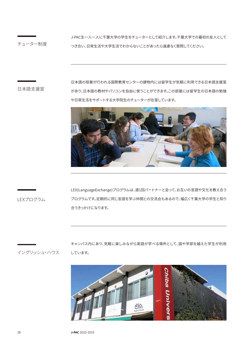チューター制度

J-PAC生一人一人に千葉大学の学生をチューターとして紹介します。千葉大学での最初の友人として つき合い、日常生活や大学生活でわからないことがあったら遠慮なく質問してください。

日本語支援室

日本語の授業が行われる国際教育センターの建物内には留学生が気軽に利用できる日本語支援室 があり、日本語の教材やパソコンを自由に使うことができます。この部屋には留学生の日本語の勉強 や日常生活をサポートする大学院生のチューターが在室しています。



LEXプログラム

LEX(LanguageExchange)プログラムは、週1回パートナーと会って、お互いの言語や文化を教え合う プログラムです。定期的に同じ言語を学ぶ仲間との交流会もあるので、幅広く千葉大学の学生と知り 合うきっかけになります。

イングリッシュ・ハウス

キャンパス内にあり、気軽に楽しみながら英語が学べる場所として、国や学部を越えた学生が利用 しています。

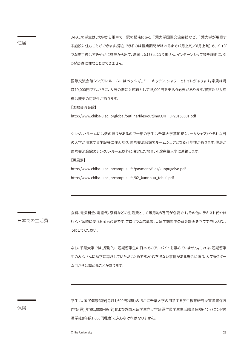J-PACの学生は、大学から電車で一駅の稲毛にある千葉大学国際交流会館など、千葉大学が用意す る施設に住むことができます。滞在できるのは授業期間が終わるまで(2月上旬/8月上旬)で、プログ ラム終了後はすみやかに施設から出て、帰国しなければなりません。インターンシップ等を理由に、引 き続き寮に住むことはできません。

国際交流会館シングル・ルームにはベッド、机、ミニ・キッチン、シャワーとトイレがあります。家賃は月 額19,000円です。さらに、入居の際に入館費として15,000円を支払う必要があります。家賃及び入館 費は変更の可能性があります。

【国際交流会館】

http://www.chiba-u.ac.jp/global/outline/files/outlineCUIH\_JP20150601.pdf

シングル・ルームには数の限りがあるので一部の学生は千葉大学薫風寮(ルームシェア)やそれ以外 の大学が用意する施設等に住んだり、国際交流会館でルームシェアとなる可能性があります。住居が 国際交流会館のシングル・ルーム以外に決定した場合、別途在籍大学に連絡します。 【薫風寮】

http://www.chiba-u.ac.jp/campus-life/payment/files/kunpugaiyo.pdf http://www.chiba-u.ac.jp/campus-life/02\_kunnpuu\_tebiki.pdf

日本での生活費

食費、電気料金、電話代、寮費などの生活費として毎月約8万円が必要です。その他にテキスト代や旅 行など余暇に使うお金も必要です。プログラム応募者は、留学期間中の資金計画を立てて申し込むよ うにしてください。

なお、千葉大学では、原則的に短期留学生の日本でのアルバイトを認めていません。これは、短期留学 生のみなさんに勉学に専念していただくためです。やむを得ない事情がある場合に限り、入学後2ター ム目からは認めることがあります。

保険

学生は、国民健康保険(毎月1,600円程度)のほかに千葉大学の用意する学生教育研究災害障害保険 (学研災)(年額1,000円程度)および外国人留学生向け学研災付帯学生生活総合保険(インバウンド付 帯学総)(年額1,860円程度)に入らなければなりません。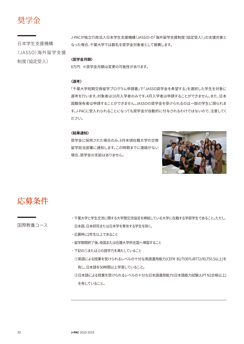奨学金

日本学生支援機構 (JASSO)海外留学支援 制度(協定受入)

J-PACが独立行政法人日本学生支援機構(JASSO)の「海外留学支援制度(協定受入)」の支援対象と なった場合、千葉大学では数名を奨学金対象者として推薦します。

### **〈奨学金月額〉**

8万円 ※奨学金月額は変更の可能性があります。

### **〈選考〉**

「千葉大学短期交換留学プログラム申請書」で「JASSO奨学金を希望する」を選択した学生を対象に 選考を行います。対象者は10月入学者のみです。4月入学者は申請することができません。また、日本 国籍保有者は申請することができません。JASSOの奨学金を受けられるのは一部の学生に限られま す。J-PACに受入れられることになっても奨学金が自動的に付与されるわけではないので、注意してく ださい。

### **〈結果通知〉**

奨学金に採用された場合のみ、6月末頃在籍大学の交換 留学担当部署に通知します。この時期までに連絡がない 場合、奨学金の支給はありません。



応募条件

国際教養コース

- ˙千葉大学と学生交流に関する大学間交流協定を締結している大学に在籍する学部学生であること。ただし、 日本語、日本研究または日本学を専攻する学生を除く。
- ˙応募時に2年生以上であること
- ˙留学期間終了後、母国または在籍大学所在国へ帰国すること
- ˙下記の①または②の語学力を満たしていること
- ①英語による授業を受けられるレベルの十分な英語運用能力(CEFR B2/TOEFLiBT72/IELTS5.5以上)を 有し、日本語を50時間以上学習していること。
- ②日本語による授業を受けられるレベルの十分な日本語運用能力(日本語能力試験JLPT N2合格以上) を有していること。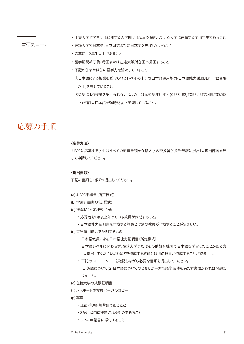# 日本研究コース

- ˙千葉大学と学生交流に関する大学間交流協定を締結している大学に在籍する学部学生であること
- ˙在籍大学で日本語、日本研究または日本学を専攻していること
- ˙応募時に2年生以上であること
- ˙留学期間終了後、母国または在籍大学所在国へ帰国すること
- ˙下記の①または②の語学力を満たしていること
	- ①日本語による授業を受けられるレベルの十分な日本語運用能力(日本語能力試験JLPT N2合格 以上)を有していること。
	- ②英語による授業を受けられるレベルの十分な英語運用能力(CEFR B2/TOEFLiBT72/IELTS5.5以 上)を有し、日本語を50時間以上学習していること。

# 応募の手順

# **〈応募方法〉**

J-PACに応募する学生はすべての応募書類を在籍大学の交換留学担当部署に提出し、担当部署を通 じて申請してください。

### **〈提出書類〉**

下記の書類を1部ずつ提出してください。

- (a) J-PAC申請書(所定様式)
- (b) 学習計画書(所定様式)
- (c) 推薦状(所定様式) 1通
	- ˙応募者を1年以上知っている教員が作成すること。
	- ˙日本語能力証明書を作成する教員とは別の教員が作成することが望ましい。
- (d) 言語運用能力を証明するもの
	- 1.日本語教員による日本語能力証明書(所定様式)

日本語レベルに関わらず、在籍大学またはその他教育機関で日本語を学習したことがある方 は、提出してください。推薦状を作成する教員とは別の教員が作成することが望ましい。

2.下記のフローチャートを確認しながら必要な書類を提出してください。

(1)英語について(2)日本語についてのどちらか一方で語学条件を満たす書類があれば問題あ りません。

- (e) 在籍大学の成績証明書
- (f) パスポートの写真ページのコピー
- (g) 写真
	- ˙正面・無帽・無背景であること
	- ˙3か月以内に撮影されたものであること
	- ˙J-PAC申請書に添付すること